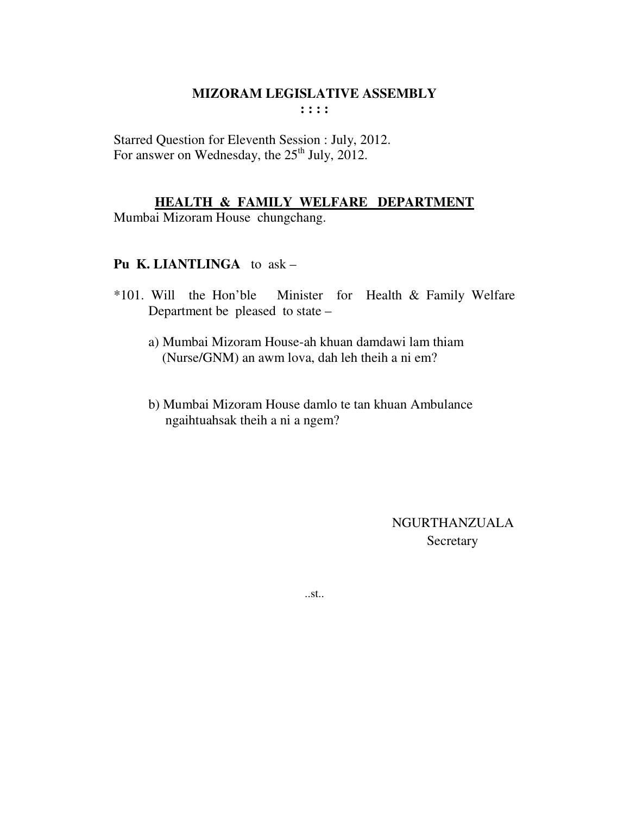Starred Question for Eleventh Session : July, 2012. For answer on Wednesday, the  $25<sup>th</sup>$  July, 2012.

#### **HEALTH & FAMILY WELFARE DEPARTMENT**

Mumbai Mizoram House chungchang.

#### **Pu K. LIANTLINGA** to ask –

- \*101. Will the Hon'ble Minister for Health & Family Welfare Department be pleased to state –
	- a) Mumbai Mizoram House-ah khuan damdawi lam thiam (Nurse/GNM) an awm lova, dah leh theih a ni em?
	- b) Mumbai Mizoram House damlo te tan khuan Ambulance ngaihtuahsak theih a ni a ngem?

 NGURTHANZUALA **Secretary** 

..st..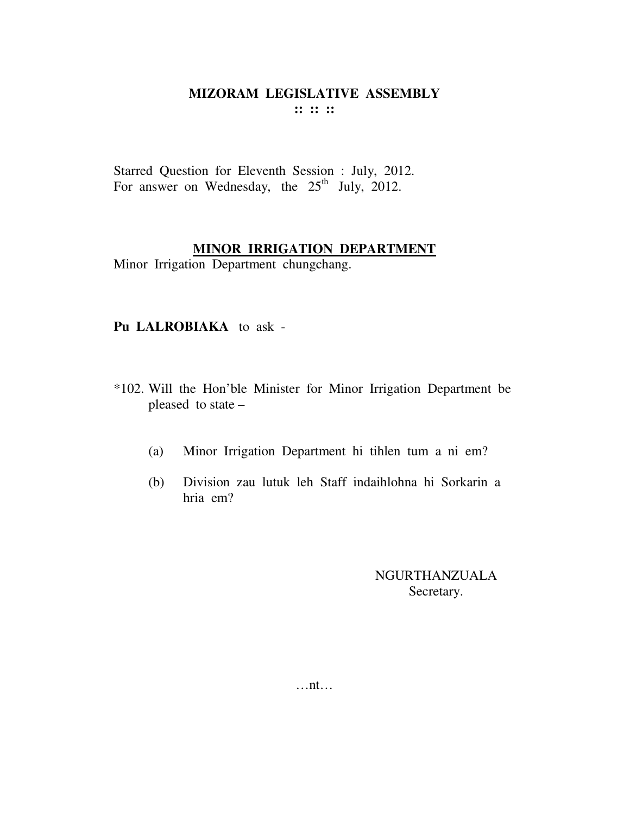Starred Question for Eleventh Session : July, 2012. For answer on Wednesday, the  $25<sup>th</sup>$  July, 2012.

#### **MINOR IRRIGATION DEPARTMENT**

Minor Irrigation Department chungchang.

#### **Pu LALROBIAKA** to ask -

- \*102. Will the Hon'ble Minister for Minor Irrigation Department be pleased to state –
	- (a) Minor Irrigation Department hi tihlen tum a ni em?
	- (b) Division zau lutuk leh Staff indaihlohna hi Sorkarin a hria em?

NGURTHANZUALA Secretary.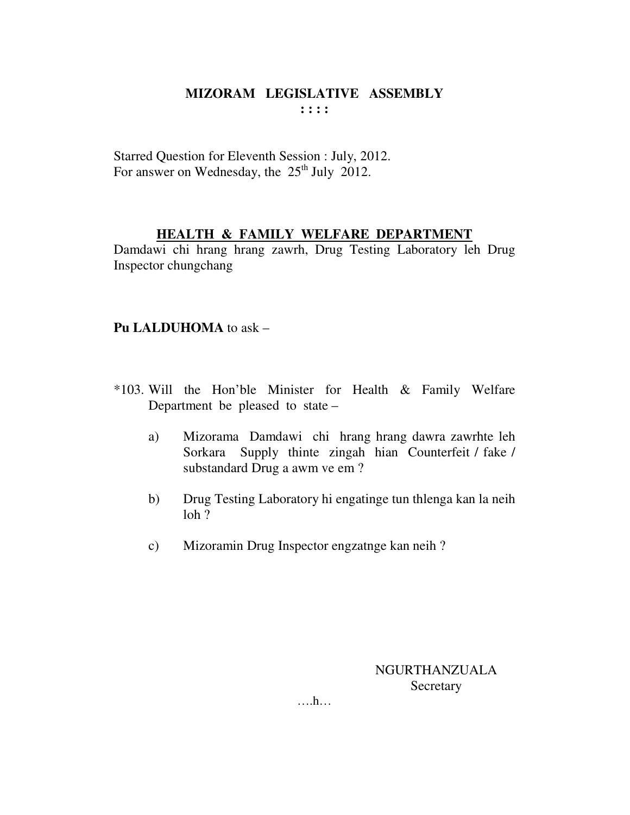Starred Question for Eleventh Session : July, 2012. For answer on Wednesday, the  $25<sup>th</sup>$  July 2012.

#### **HEALTH & FAMILY WELFARE DEPARTMENT**

Damdawi chi hrang hrang zawrh, Drug Testing Laboratory leh Drug Inspector chungchang

## **Pu LALDUHOMA** to ask –

- \*103. Will the Hon'ble Minister for Health & Family Welfare Department be pleased to state –
	- a) Mizorama Damdawi chi hrang hrang dawra zawrhte leh Sorkara Supply thinte zingah hian Counterfeit / fake / substandard Drug a awm ve em ?
	- b) Drug Testing Laboratory hi engatinge tun thlenga kan la neih loh ?
	- c) Mizoramin Drug Inspector engzatnge kan neih ?

NGURTHANZUALA **Secretary** 

….h…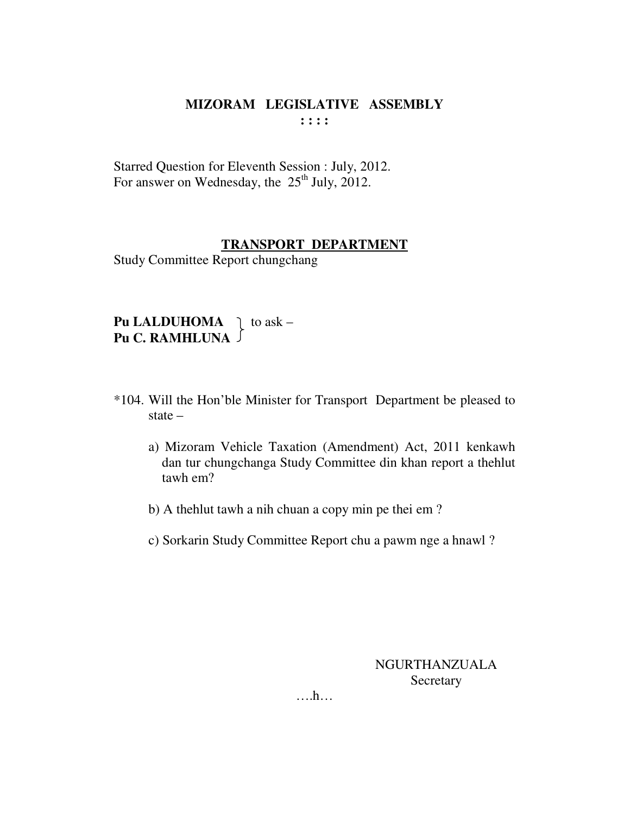Starred Question for Eleventh Session : July, 2012. For answer on Wednesday, the  $25<sup>th</sup>$  July, 2012.

#### **TRANSPORT DEPARTMENT**

Study Committee Report chungchang

**Pu LALDUHOMA**  $\bigcap$  to ask – **Pu C. RAMHLUNA** 

- \*104. Will the Hon'ble Minister for Transport Department be pleased to state –
	- a) Mizoram Vehicle Taxation (Amendment) Act, 2011 kenkawh dan tur chungchanga Study Committee din khan report a thehlut tawh em?
	- b) A thehlut tawh a nih chuan a copy min pe thei em ?
	- c) Sorkarin Study Committee Report chu a pawm nge a hnawl ?

NGURTHANZUALA **Secretary** 

….h…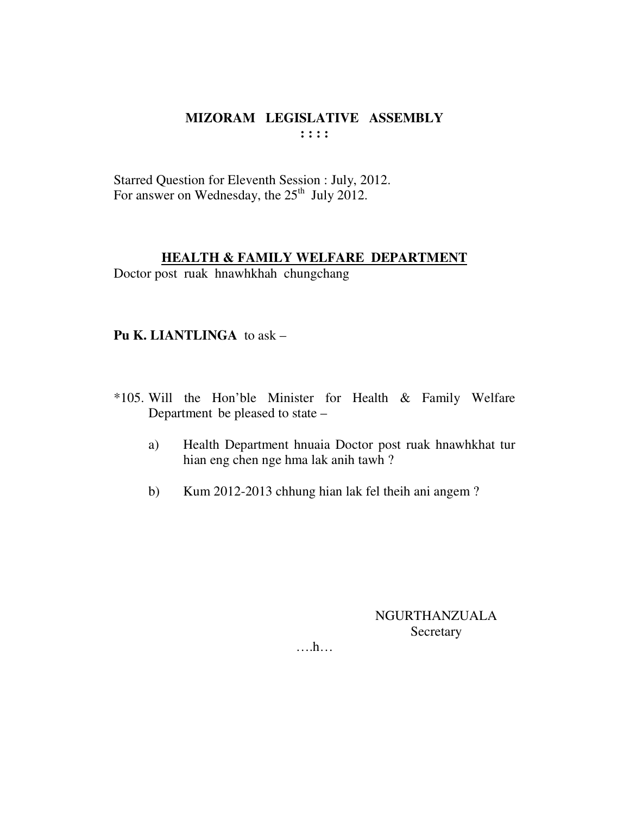Starred Question for Eleventh Session : July, 2012. For answer on Wednesday, the 25<sup>th</sup> July 2012.

## **HEALTH & FAMILY WELFARE DEPARTMENT**

Doctor post ruak hnawhkhah chungchang

#### Pu K. LIANTLINGA to ask  $-$

- \*105. Will the Hon'ble Minister for Health & Family Welfare Department be pleased to state –
	- a) Health Department hnuaia Doctor post ruak hnawhkhat tur hian eng chen nge hma lak anih tawh?
	- $b)$ Kum 2012-2013 chhung hian lak fel theih ani angem?

NGURTHANZUALA Secretary

 $\dots h\dots$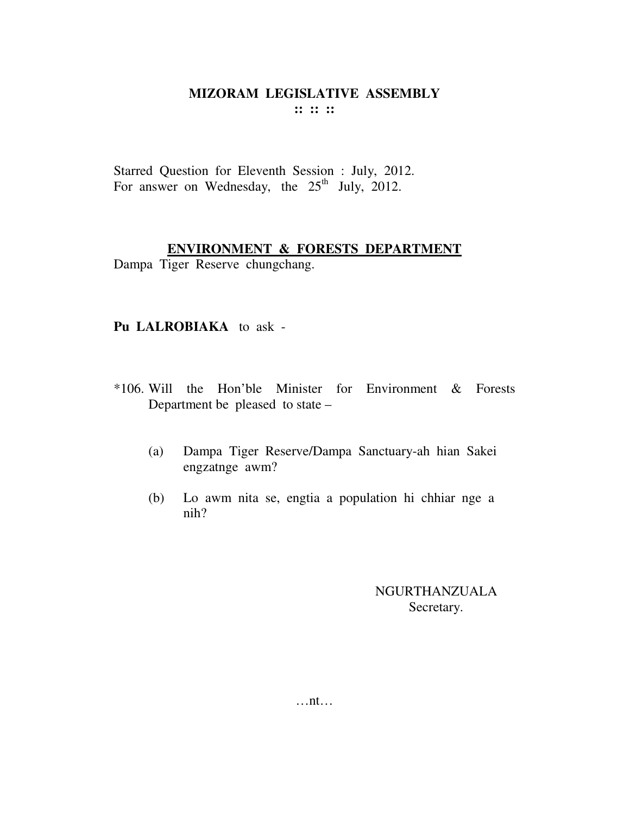Starred Question for Eleventh Session : July, 2012. For answer on Wednesday, the  $25<sup>th</sup>$  July, 2012.

#### ENVIRONMENT & FORESTS DEPARTMENT

Dampa Tiger Reserve chungchang.

#### Pu LALROBIAKA to ask -

- \*106. Will the Hon'ble Minister for Environment & Forests Department be pleased to state –
	- Dampa Tiger Reserve/Dampa Sanctuary-ah hian Sakei  $(a)$ engzatnge awm?
	- Lo awm nita se, engtia a population hi chhiar nge a  $(b)$  $nih?$

## **NGURTHANZUALA** Secretary.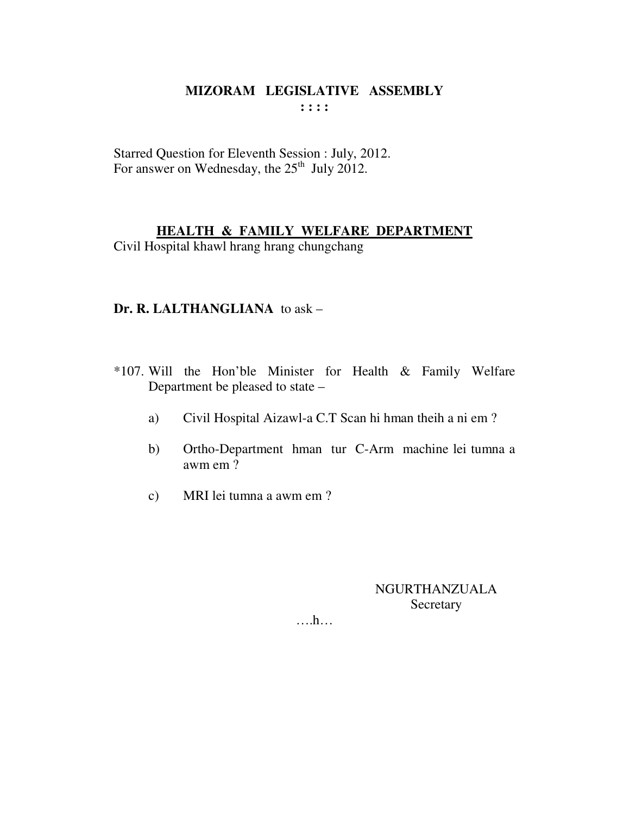Starred Question for Eleventh Session : July, 2012.<br>For answer on Wednesday, the  $25<sup>th</sup>$  July 2012.

## **HEALTH & FAMILY WELFARE DEPARTMENT**

Civil Hospital khawl hrang hrang chungchang

#### Dr. R. LALTHANGLIANA to ask -

- \*107. Will the Hon'ble Minister for Health & Family Welfare Department be pleased to state –
	- Civil Hospital Aizawl-a C.T Scan hi hman theih a ni em? a)
	- Ortho-Department hman tur C-Arm machine lei tumna a  $b)$ awm em?
	- MRI lei tumna a awm em ?  $c)$

**NGURTHANZUALA** Secretary

 $\dots h\dots$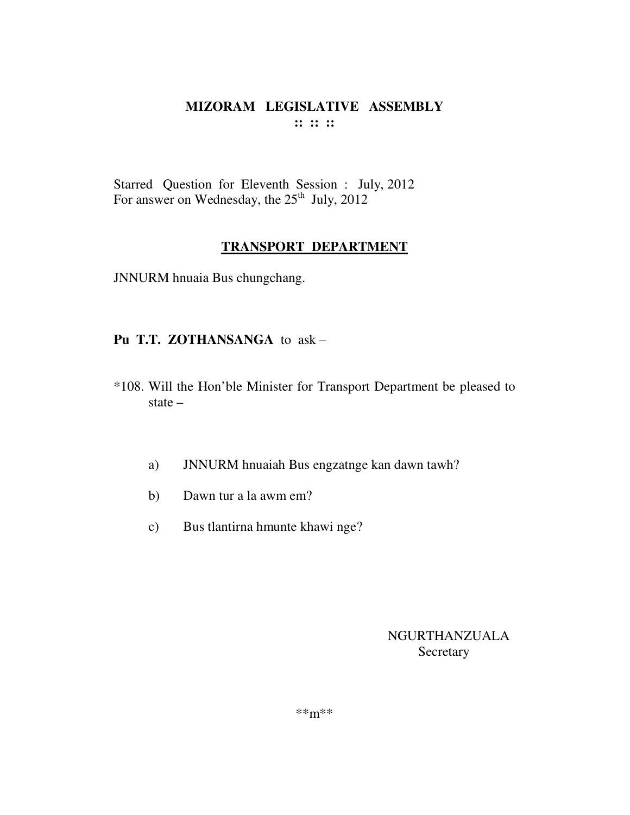#### MIZORAM LEGISLATIVE ASSEMBLY  $\mathbf{::} :: \mathbf{::}$

Starred Question for Eleventh Session : July, 2012 For answer on Wednesday, the  $25<sup>th</sup>$  July, 2012

#### **TRANSPORT DEPARTMENT**

JNNURM hnuaia Bus chungchang.

#### Pu T.T. ZOTHANSANGA to ask -

- \*108. Will the Hon'ble Minister for Transport Department be pleased to state  $-$ 
	- JNNURM hnuaiah Bus engzatnge kan dawn tawh? a)
	- Dawn tur a la awm em?  $b)$
	- Bus tlantirna hmunte khawi nge?  $c)$

## **NGURTHANZUALA** Secretary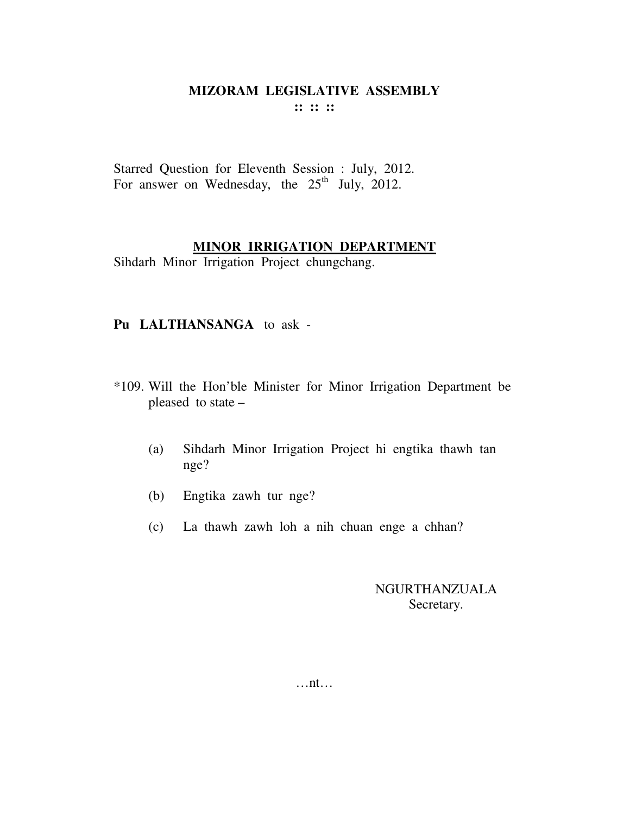Starred Question for Eleventh Session : July, 2012. For answer on Wednesday, the  $25<sup>th</sup>$  July, 2012.

#### **MINOR IRRIGATION DEPARTMENT**

Sihdarh Minor Irrigation Project chungchang.

#### **Pu LALTHANSANGA** to ask -

- \*109. Will the Hon'ble Minister for Minor Irrigation Department be pleased to state –
	- (a) Sihdarh Minor Irrigation Project hi engtika thawh tan nge?
	- (b) Engtika zawh tur nge?
	- (c) La thawh zawh loh a nih chuan enge a chhan?

## NGURTHANZUALA Secretary.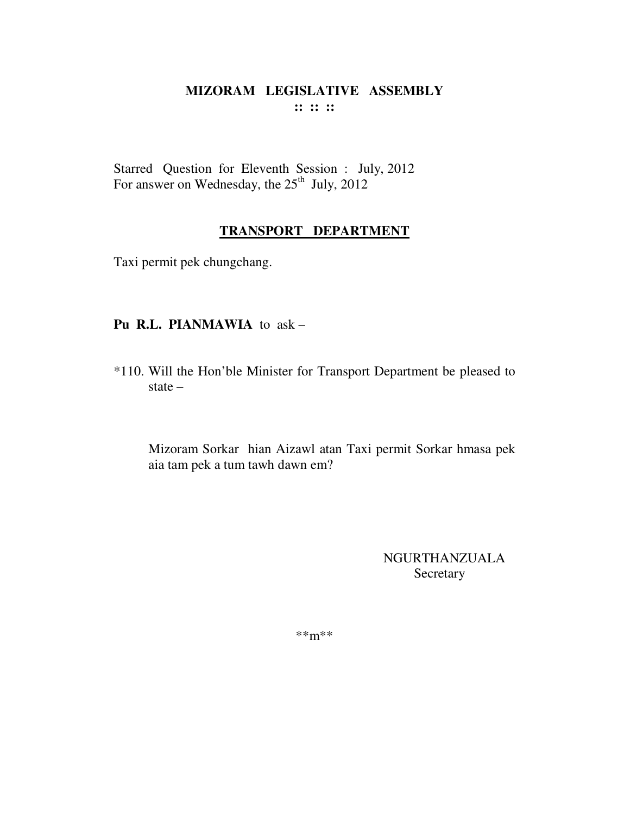Starred Question for Eleventh Session : July, 2012 For answer on Wednesday, the 25<sup>th</sup> July, 2012

## **TRANSPORT DEPARTMENT**

Taxi permit pek chungchang.

## **Pu R.L. PIANMAWIA** to ask –

\*110. Will the Hon'ble Minister for Transport Department be pleased to state –

Mizoram Sorkar hian Aizawl atan Taxi permit Sorkar hmasa pek aia tam pek a tum tawh dawn em?

> NGURTHANZUALA Secretary

\*\*m\*\*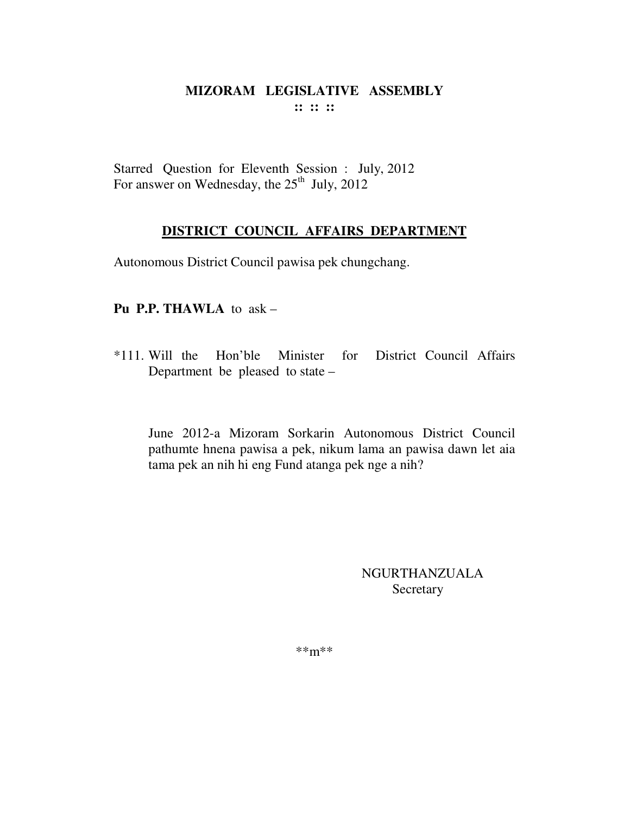Starred Question for Eleventh Session : July, 2012 For answer on Wednesday, the  $25<sup>th</sup>$  July, 2012

## **DISTRICT COUNCIL AFFAIRS DEPARTMENT**

Autonomous District Council pawisa pek chungchang.

#### **Pu P.P. THAWLA** to ask –

\*111. Will the Hon'ble Minister for District Council Affairs Department be pleased to state –

June 2012-a Mizoram Sorkarin Autonomous District Council pathumte hnena pawisa a pek, nikum lama an pawisa dawn let aia tama pek an nih hi eng Fund atanga pek nge a nih?

#### NGURTHANZUALA Secretary

\*\*m\*\*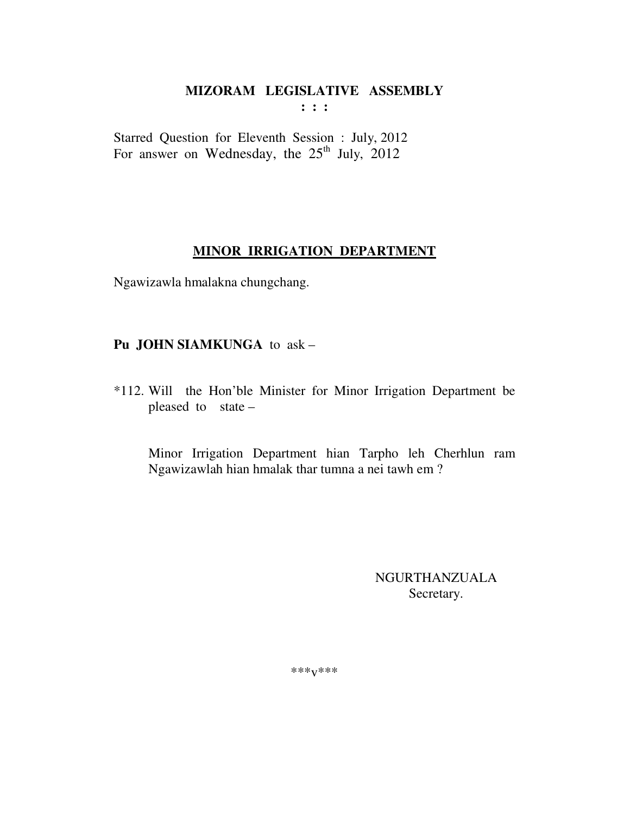**: : :** 

Starred Question for Eleventh Session : July, 2012 For answer on Wednesday, the  $25<sup>th</sup>$  July, 2012

#### **MINOR IRRIGATION DEPARTMENT**

Ngawizawla hmalakna chungchang.

#### **Pu JOHN SIAMKUNGA** to ask –

\*112. Will the Hon'ble Minister for Minor Irrigation Department be pleased to state –

 Minor Irrigation Department hian Tarpho leh Cherhlun ram Ngawizawlah hian hmalak thar tumna a nei tawh em ?

> NGURTHANZUALA Secretary.

\*\*\*v\*\*\*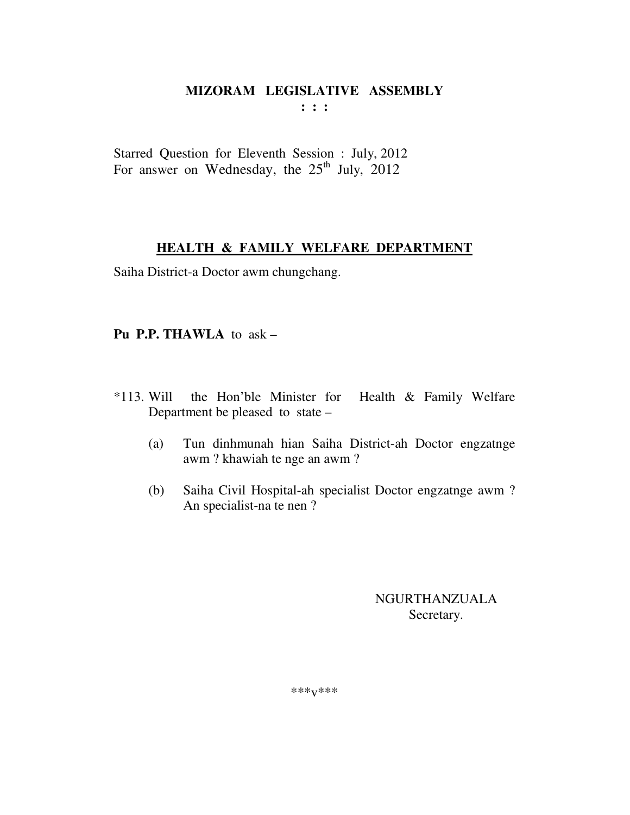**: : :** 

Starred Question for Eleventh Session : July, 2012 For answer on Wednesday, the  $25<sup>th</sup>$  July, 2012

## **HEALTH & FAMILY WELFARE DEPARTMENT**

Saiha District-a Doctor awm chungchang.

## **Pu P.P. THAWLA** to ask –

- \*113. Will the Hon'ble Minister for Health & Family Welfare Department be pleased to state –
	- (a) Tun dinhmunah hian Saiha District-ah Doctor engzatnge awm ? khawiah te nge an awm ?
	- (b) Saiha Civil Hospital-ah specialist Doctor engzatnge awm ? An specialist-na te nen ?

NGURTHANZUALA Secretary.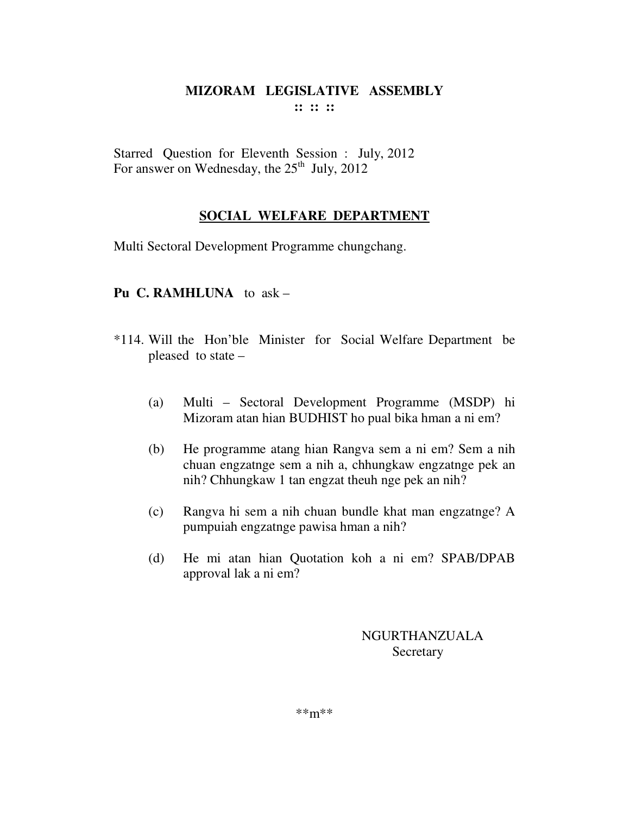Starred Question for Eleventh Session : July, 2012 For answer on Wednesday, the  $25<sup>th</sup>$  July, 2012

## **SOCIAL WELFARE DEPARTMENT**

Multi Sectoral Development Programme chungchang.

#### **Pu C. RAMHLUNA** to ask –

- \*114. Will the Hon'ble Minister for Social Welfare Department be pleased to state –
	- (a) Multi Sectoral Development Programme (MSDP) hi Mizoram atan hian BUDHIST ho pual bika hman a ni em?
	- (b) He programme atang hian Rangva sem a ni em? Sem a nih chuan engzatnge sem a nih a, chhungkaw engzatnge pek an nih? Chhungkaw 1 tan engzat theuh nge pek an nih?
	- (c) Rangva hi sem a nih chuan bundle khat man engzatnge? A pumpuiah engzatnge pawisa hman a nih?
	- (d) He mi atan hian Quotation koh a ni em? SPAB/DPAB approval lak a ni em?

NGURTHANZUALA **Secretary**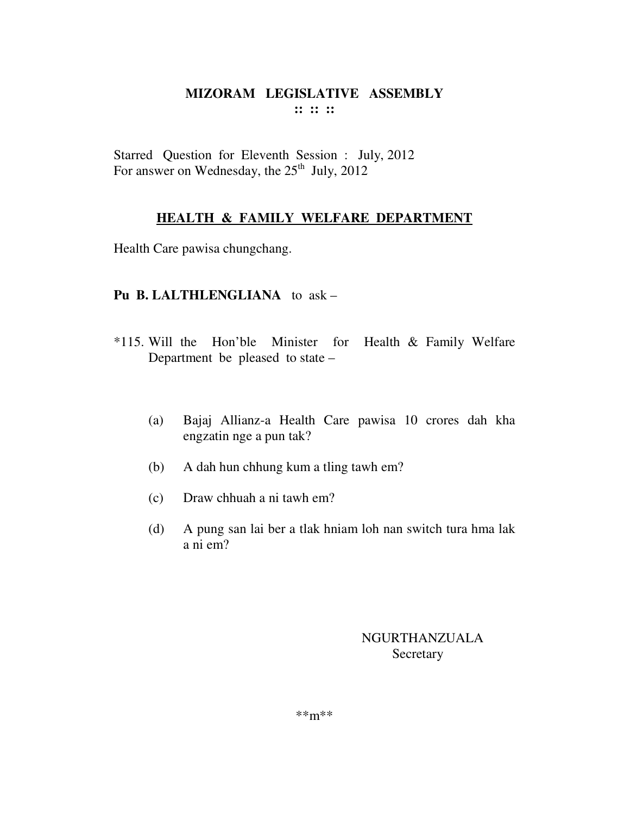Starred Question for Eleventh Session : July, 2012 For answer on Wednesday, the  $25<sup>th</sup>$  July, 2012

## **HEALTH & FAMILY WELFARE DEPARTMENT**

Health Care pawisa chungchang.

#### **Pu B. LALTHLENGLIANA** to ask –

- \*115. Will the Hon'ble Minister for Health & Family Welfare Department be pleased to state –
	- (a) Bajaj Allianz-a Health Care pawisa 10 crores dah kha engzatin nge a pun tak?
	- (b) A dah hun chhung kum a tling tawh em?
	- (c) Draw chhuah a ni tawh em?
	- (d) A pung san lai ber a tlak hniam loh nan switch tura hma lak a ni em?

## NGURTHANZUALA Secretary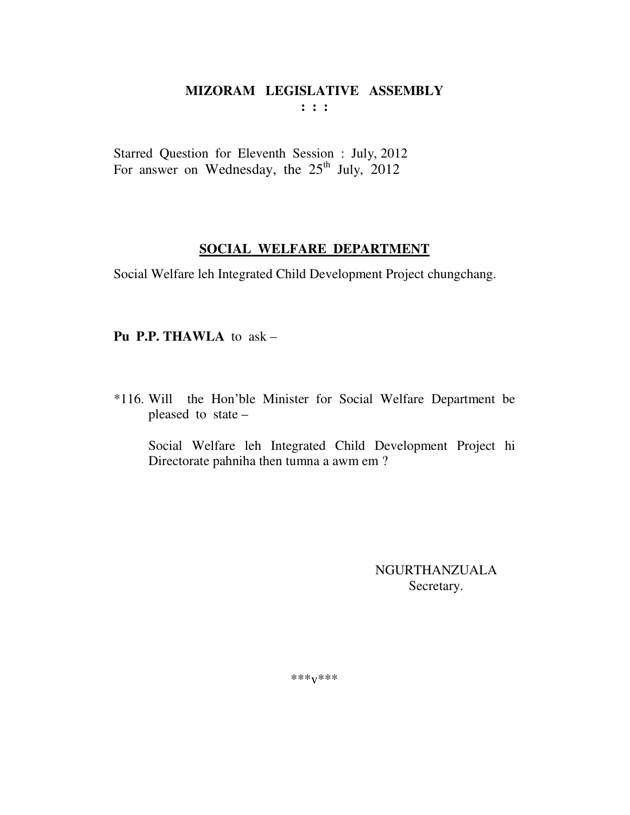$: : :$ 

Starred Question for Eleventh Session : July, 2012 For answer on Wednesday, the  $25<sup>th</sup>$  July, 2012

## SOCIAL WELFARE DEPARTMENT

Social Welfare leh Integrated Child Development Project chungchang.

Pu P.P. THAWLA to  $ask -$ 

\*116. Will the Hon'ble Minister for Social Welfare Department be pleased to state –

Social Welfare leh Integrated Child Development Project hi Directorate pahniha then tumna a awm em?

> **NGURTHANZUALA** Secretary.

\*\*\* $V$ \*\*\*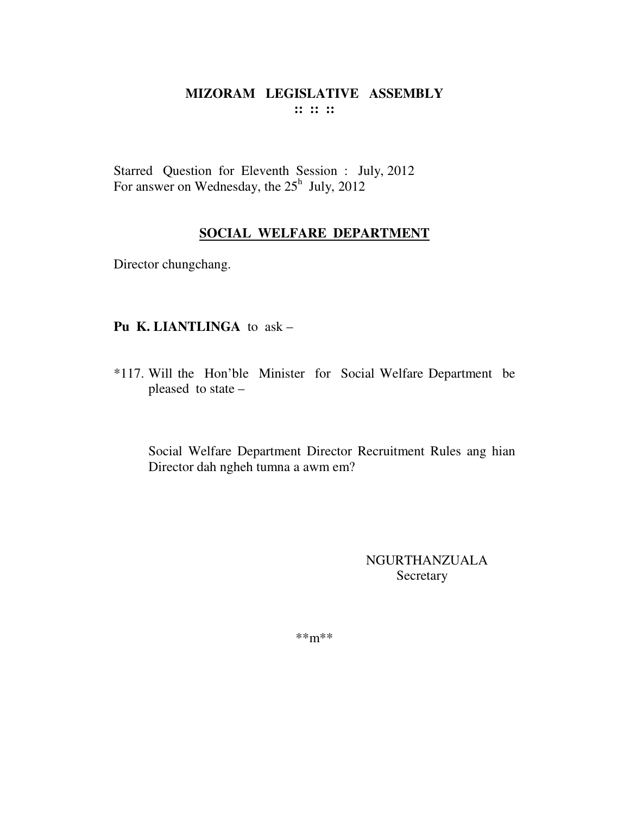## MIZORAM LEGISLATIVE ASSEMBLY  $\cdots$   $\cdots$   $\cdots$

Starred Question for Eleventh Session : July, 2012 For answer on Wednesday, the  $25<sup>h</sup>$  July, 2012

## **SOCIAL WELFARE DEPARTMENT**

Director chungchang.

## Pu K. LIANTLINGA to ask -

\*117. Will the Hon'ble Minister for Social Welfare Department be pleased to state -

Social Welfare Department Director Recruitment Rules ang hian Director dah ngheh tumna a awm em?

> NGURTHANZUALA Secretary

 $***m***$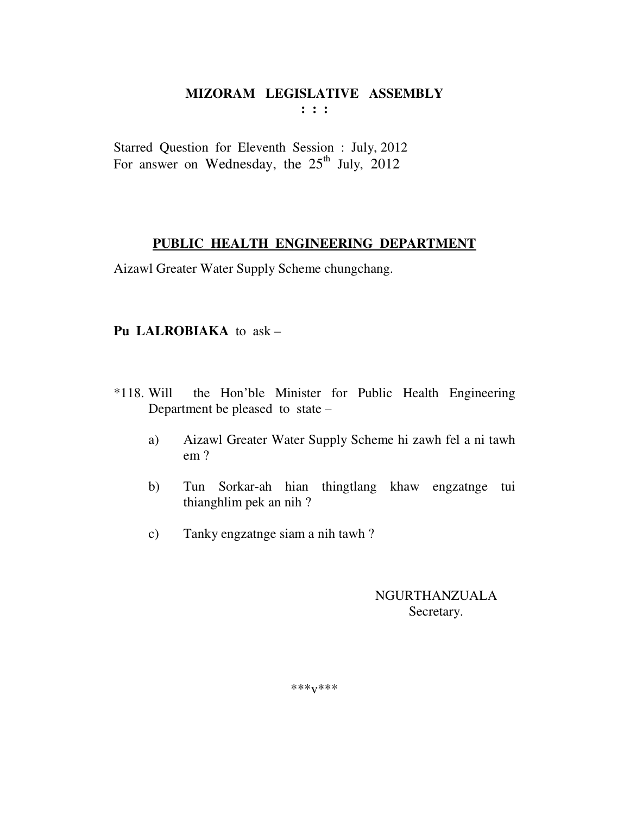**: : :** 

Starred Question for Eleventh Session : July, 2012 For answer on Wednesday, the  $25<sup>th</sup>$  July, 2012

#### **PUBLIC HEALTH ENGINEERING DEPARTMENT**

Aizawl Greater Water Supply Scheme chungchang.

## **Pu LALROBIAKA** to ask –

- \*118. Will the Hon'ble Minister for Public Health Engineering Department be pleased to state –
	- a) Aizawl Greater Water Supply Scheme hi zawh fel a ni tawh em ?
	- b) Tun Sorkar-ah hian thingtlang khaw engzatnge tui thianghlim pek an nih ?
	- c) Tanky engzatnge siam a nih tawh ?

NGURTHANZUALA Secretary.

\*\*\*v\*\*\*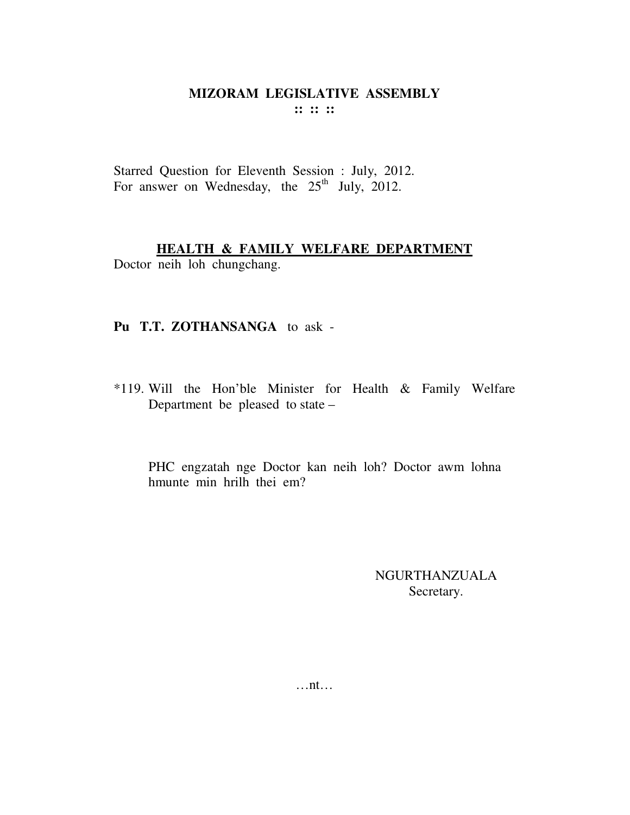Starred Question for Eleventh Session : July, 2012. For answer on Wednesday, the  $25<sup>th</sup>$  July, 2012.

#### **HEALTH & FAMILY WELFARE DEPARTMENT**

Doctor neih loh chungchang.

#### **Pu T.T. ZOTHANSANGA** to ask -

\*119. Will the Hon'ble Minister for Health & Family Welfare Department be pleased to state –

PHC engzatah nge Doctor kan neih loh? Doctor awm lohna hmunte min hrilh thei em?

> NGURTHANZUALA Secretary.